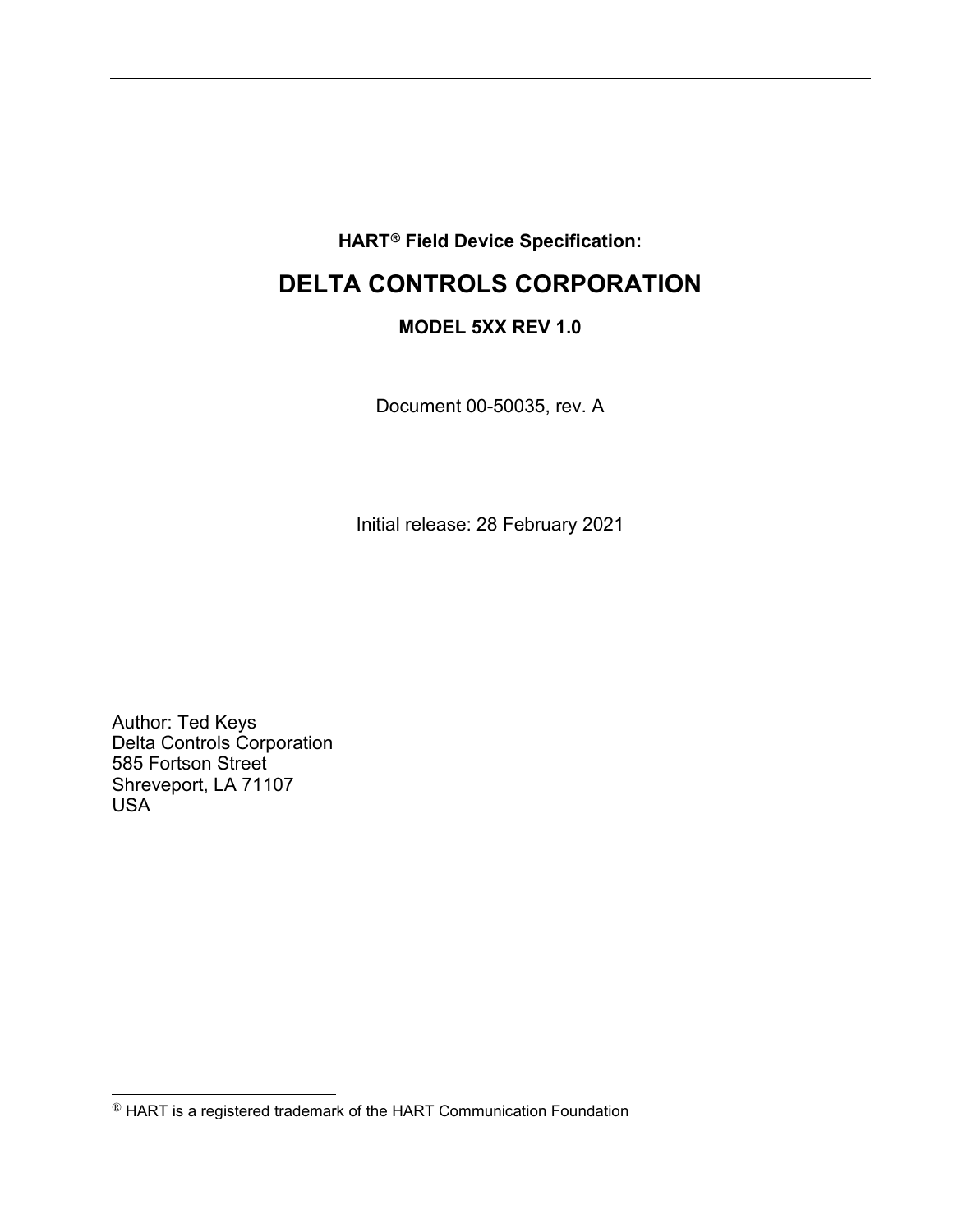### **HART[®](#page-0-0) Field Device Specification:**

# **DELTA CONTROLS CORPORATION**

### **MODEL 5XX REV 1.0**

Document 00-50035, rev. A

Initial release: 28 February 2021

Author: Ted Keys Delta Controls Corporation 585 Fortson Street Shreveport, LA 71107 USA

<span id="page-0-0"></span><sup>®</sup> HART is a registered trademark of the HART Communication Foundation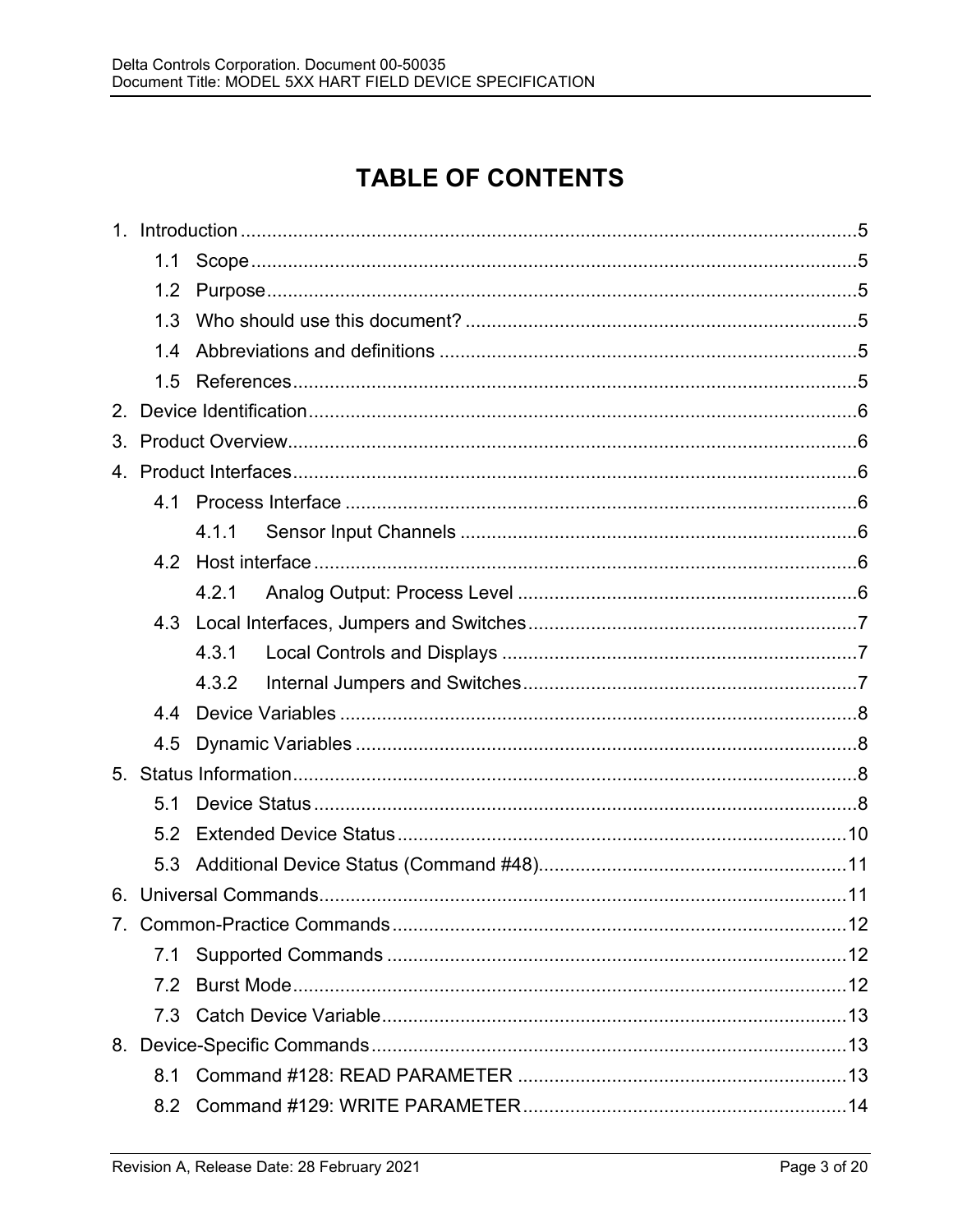# **TABLE OF CONTENTS**

| 1 <sup>1</sup> |     |       |  |  |  |
|----------------|-----|-------|--|--|--|
|                | 1.1 |       |  |  |  |
|                | 1.2 |       |  |  |  |
|                | 1.3 |       |  |  |  |
|                | 1.4 |       |  |  |  |
|                | 1.5 |       |  |  |  |
| 2 <sup>2</sup> |     |       |  |  |  |
| 3.             |     |       |  |  |  |
|                |     |       |  |  |  |
|                | 4.1 |       |  |  |  |
|                |     | 4.1.1 |  |  |  |
|                | 4.2 |       |  |  |  |
|                |     | 4.2.1 |  |  |  |
|                | 4.3 |       |  |  |  |
|                |     | 4.3.1 |  |  |  |
|                |     | 4.3.2 |  |  |  |
|                | 44  |       |  |  |  |
|                | 4.5 |       |  |  |  |
| 5 <sub>1</sub> |     |       |  |  |  |
|                | 5.1 |       |  |  |  |
|                | 5.2 |       |  |  |  |
|                | 5.3 |       |  |  |  |
| 6.             |     |       |  |  |  |
|                |     |       |  |  |  |
|                | 7.1 |       |  |  |  |
|                | 7.2 |       |  |  |  |
|                | 7.3 |       |  |  |  |
|                |     |       |  |  |  |
|                | 8.1 |       |  |  |  |
|                | 8.2 |       |  |  |  |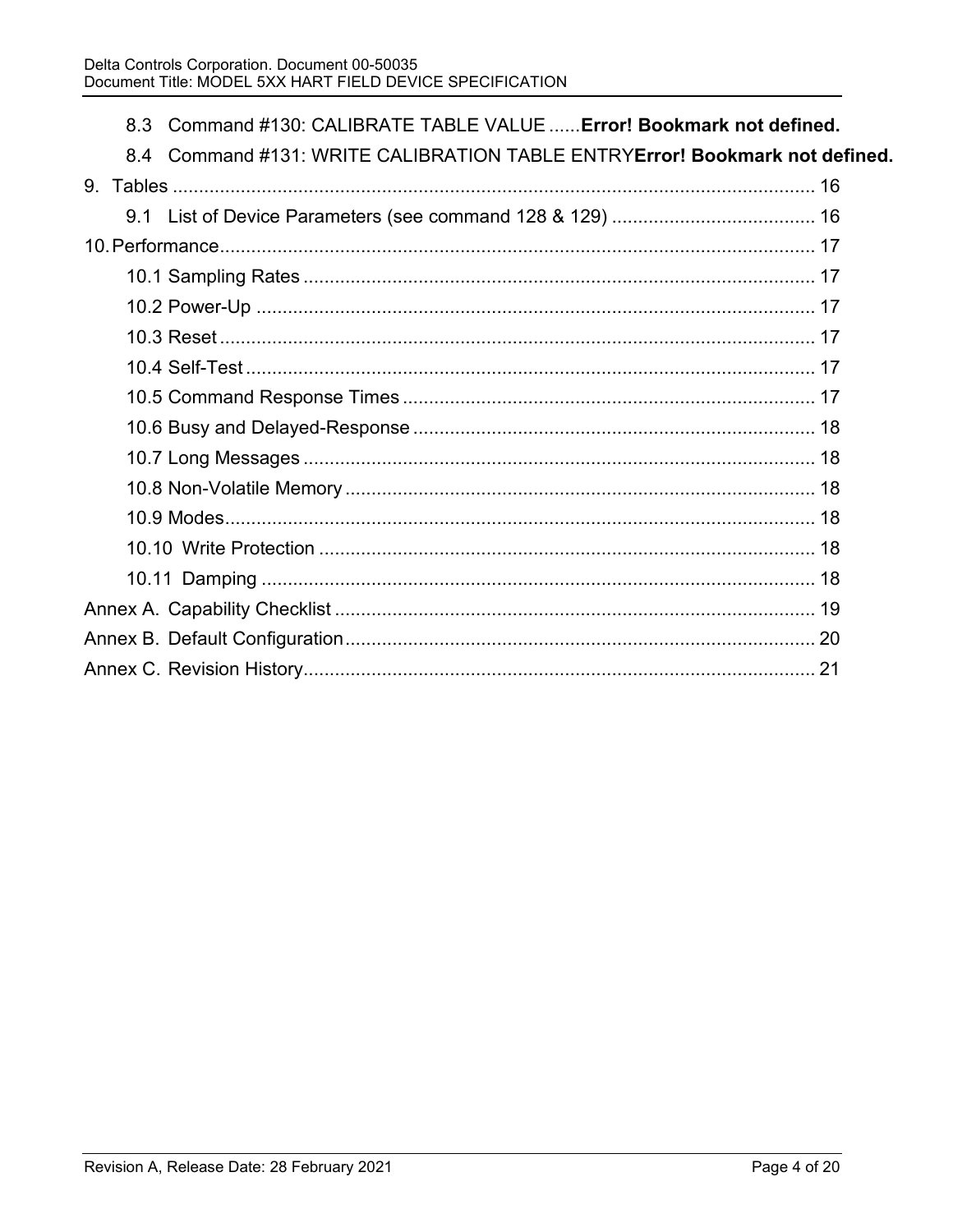|  | 8.3 Command #130: CALIBRATE TABLE VALUE  Error! Bookmark not defined.       |
|--|-----------------------------------------------------------------------------|
|  | 8.4 Command #131: WRITE CALIBRATION TABLE ENTRYError! Bookmark not defined. |
|  |                                                                             |
|  |                                                                             |
|  |                                                                             |
|  |                                                                             |
|  |                                                                             |
|  |                                                                             |
|  |                                                                             |
|  |                                                                             |
|  |                                                                             |
|  |                                                                             |
|  |                                                                             |
|  |                                                                             |
|  |                                                                             |
|  |                                                                             |
|  |                                                                             |
|  |                                                                             |
|  |                                                                             |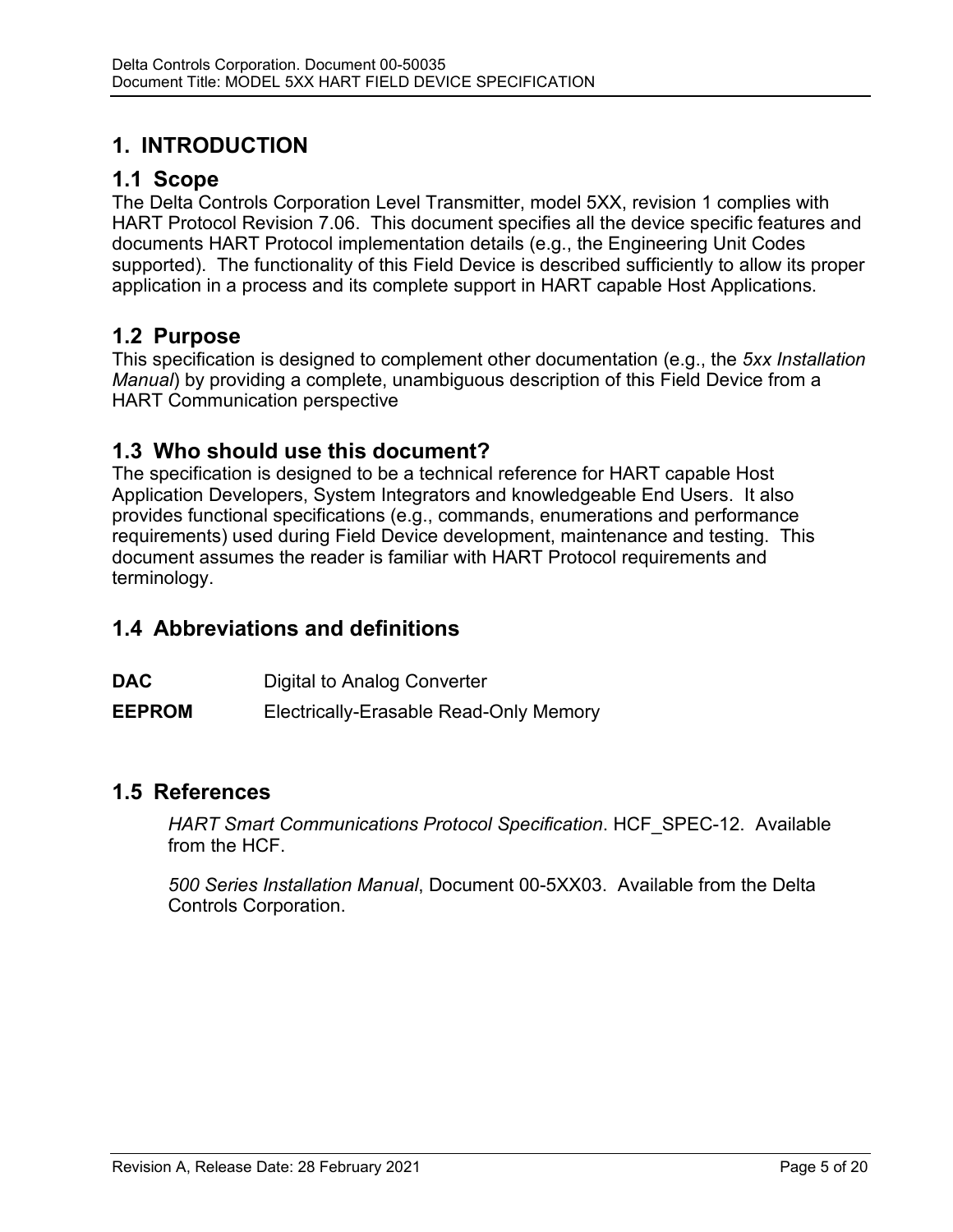# **1. INTRODUCTION**

## **1.1 Scope**

The Delta Controls Corporation Level Transmitter, model 5XX, revision 1 complies with HART Protocol Revision 7.06. This document specifies all the device specific features and documents HART Protocol implementation details (e.g., the Engineering Unit Codes supported). The functionality of this Field Device is described sufficiently to allow its proper application in a process and its complete support in HART capable Host Applications.

### **1.2 Purpose**

This specification is designed to complement other documentation (e.g., the *5xx Installation Manual*) by providing a complete, unambiguous description of this Field Device from a HART Communication perspective

## **1.3 Who should use this document?**

The specification is designed to be a technical reference for HART capable Host Application Developers, System Integrators and knowledgeable End Users. It also provides functional specifications (e.g., commands, enumerations and performance requirements) used during Field Device development, maintenance and testing. This document assumes the reader is familiar with HART Protocol requirements and terminology.

# **1.4 Abbreviations and definitions**

**DAC** Digital to Analog Converter

**EEPROM** Electrically-Erasable Read-Only Memory

### **1.5 References**

*HART Smart Communications Protocol Specification*. HCF\_SPEC-12. Available from the HCF.

*500 Series Installation Manual*, Document 00-5XX03. Available from the Delta Controls Corporation.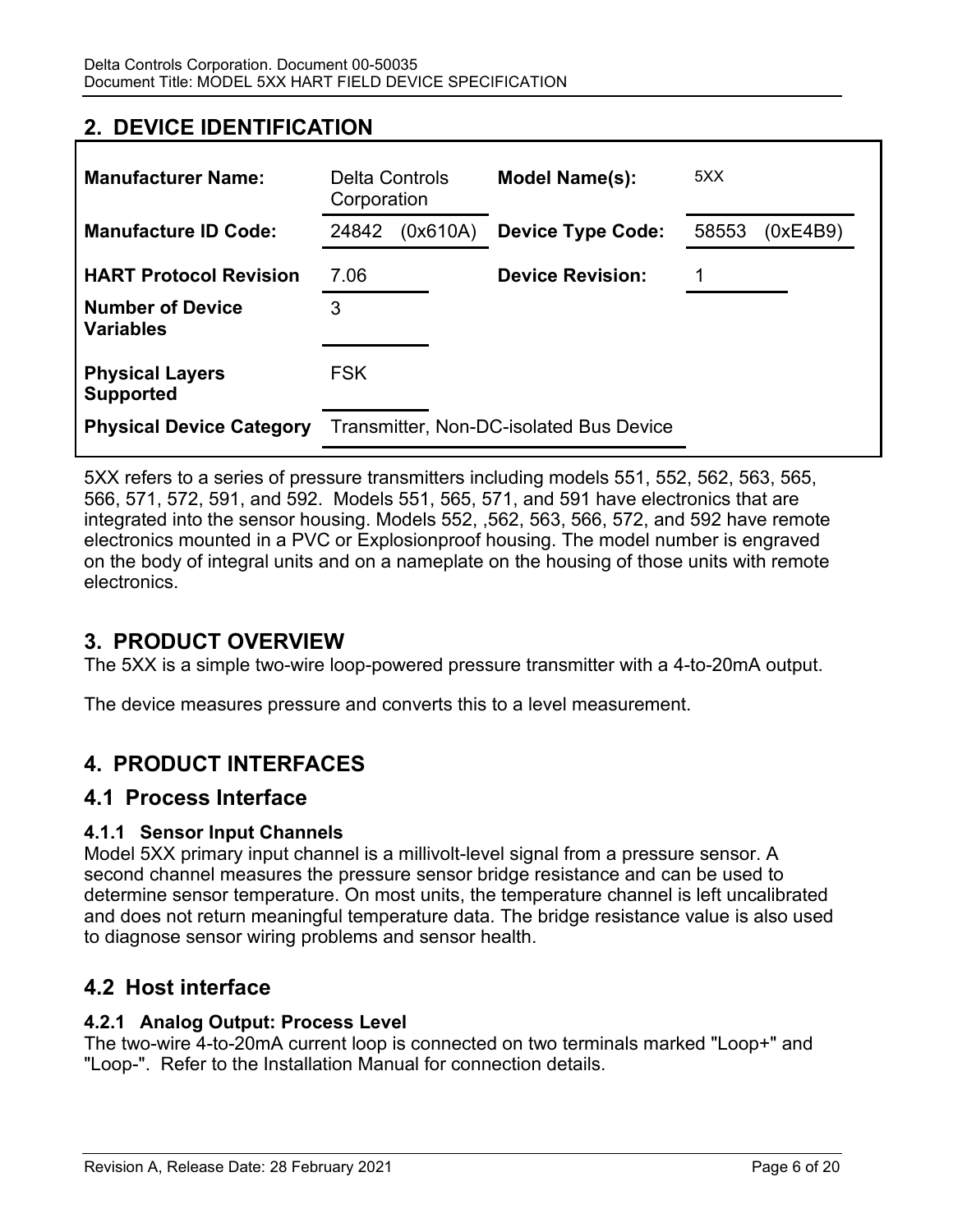# **2. DEVICE IDENTIFICATION**

| <b>Manufacturer Name:</b>                   | Delta Controls<br>Corporation |          | Model Name(s):                          | 5XX               |
|---------------------------------------------|-------------------------------|----------|-----------------------------------------|-------------------|
| <b>Manufacture ID Code:</b>                 | 24842                         | (0x610A) | <b>Device Type Code:</b>                | 58553<br>(0xE4B9) |
| <b>HART Protocol Revision</b>               | 7.06                          |          | <b>Device Revision:</b>                 |                   |
| <b>Number of Device</b><br><b>Variables</b> | 3                             |          |                                         |                   |
| <b>Physical Layers</b><br><b>Supported</b>  | <b>FSK</b>                    |          |                                         |                   |
| <b>Physical Device Category</b>             |                               |          | Transmitter, Non-DC-isolated Bus Device |                   |

5XX refers to a series of pressure transmitters including models 551, 552, 562, 563, 565, 566, 571, 572, 591, and 592. Models 551, 565, 571, and 591 have electronics that are integrated into the sensor housing. Models 552, ,562, 563, 566, 572, and 592 have remote electronics mounted in a PVC or Explosionproof housing. The model number is engraved on the body of integral units and on a nameplate on the housing of those units with remote electronics.

### **3. PRODUCT OVERVIEW**

The 5XX is a simple two-wire loop-powered pressure transmitter with a 4-to-20mA output.

The device measures pressure and converts this to a level measurement.

## **4. PRODUCT INTERFACES**

### **4.1 Process Interface**

### **4.1.1 Sensor Input Channels**

Model 5XX primary input channel is a millivolt-level signal from a pressure sensor. A second channel measures the pressure sensor bridge resistance and can be used to determine sensor temperature. On most units, the temperature channel is left uncalibrated and does not return meaningful temperature data. The bridge resistance value is also used to diagnose sensor wiring problems and sensor health.

### **4.2 Host interface**

### **4.2.1 Analog Output: Process Level**

The two-wire 4-to-20mA current loop is connected on two terminals marked "Loop+" and "Loop-". Refer to the Installation Manual for connection details.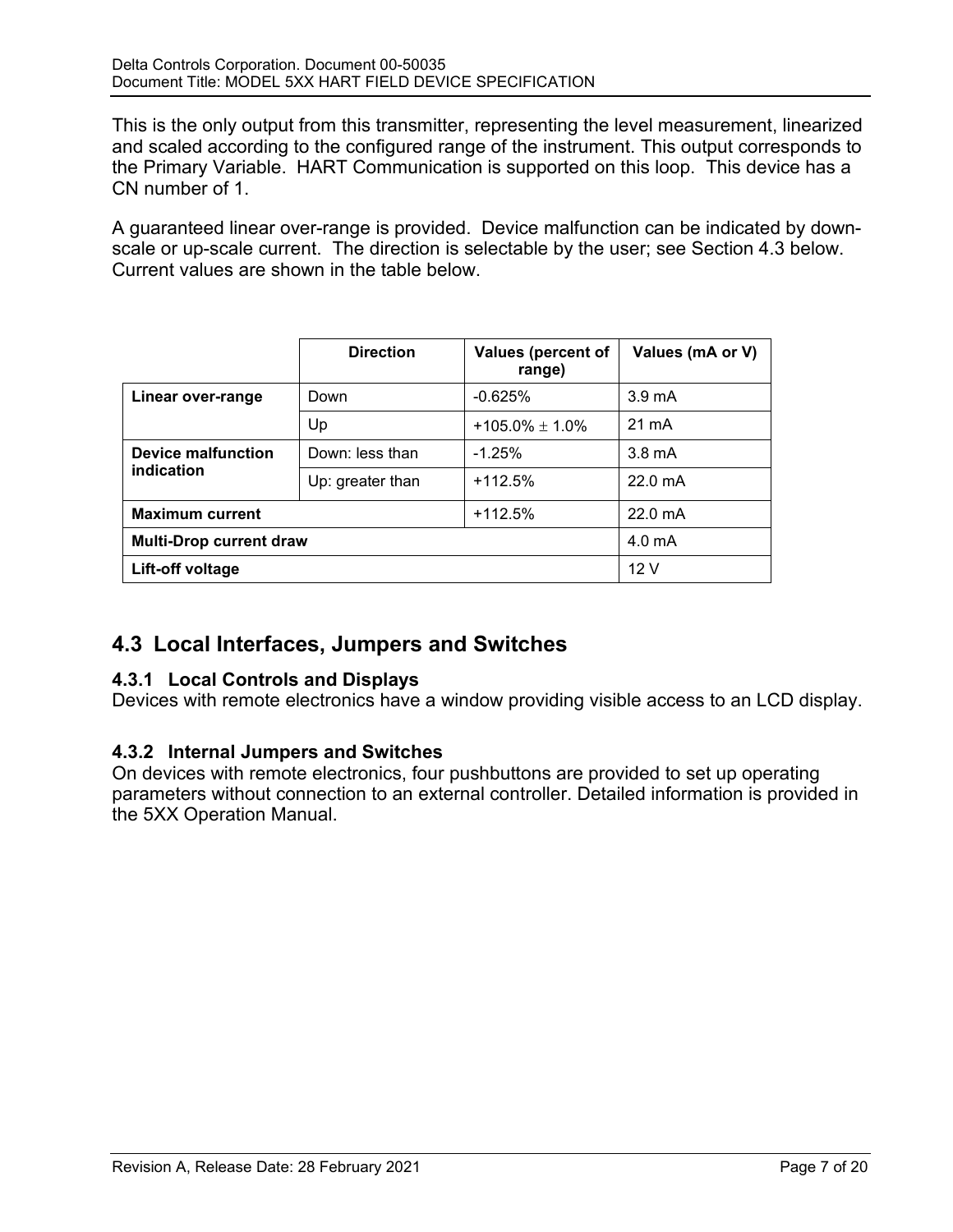This is the only output from this transmitter, representing the level measurement, linearized and scaled according to the configured range of the instrument. This output corresponds to the Primary Variable. HART Communication is supported on this loop. This device has a CN number of 1.

A guaranteed linear over-range is provided. Device malfunction can be indicated by downscale or up-scale current. The direction is selectable by the user; see Section 4.3 below. Current values are shown in the table below.

|                                | <b>Direction</b> | <b>Values (percent of</b><br>range) | Values (mA or V)   |
|--------------------------------|------------------|-------------------------------------|--------------------|
| Linear over-range              | Down             | $-0.625%$                           | $3.9 \text{ mA}$   |
|                                | Up               | $+105.0\% \pm 1.0\%$                | $21 \text{ mA}$    |
| Device malfunction             | Down: less than  | $-1.25%$                            | $3.8 \text{ mA}$   |
| indication                     | Up: greater than | $+112.5%$                           | $22.0 \text{ mA}$  |
| <b>Maximum current</b>         |                  | $+112.5%$                           | $22.0 \text{ mA}$  |
| <b>Multi-Drop current draw</b> |                  |                                     | 4.0 <sub>m</sub> A |
| Lift-off voltage               |                  |                                     | 12V                |

# **4.3 Local Interfaces, Jumpers and Switches**

### **4.3.1 Local Controls and Displays**

Devices with remote electronics have a window providing visible access to an LCD display.

### **4.3.2 Internal Jumpers and Switches**

On devices with remote electronics, four pushbuttons are provided to set up operating parameters without connection to an external controller. Detailed information is provided in the 5XX Operation Manual.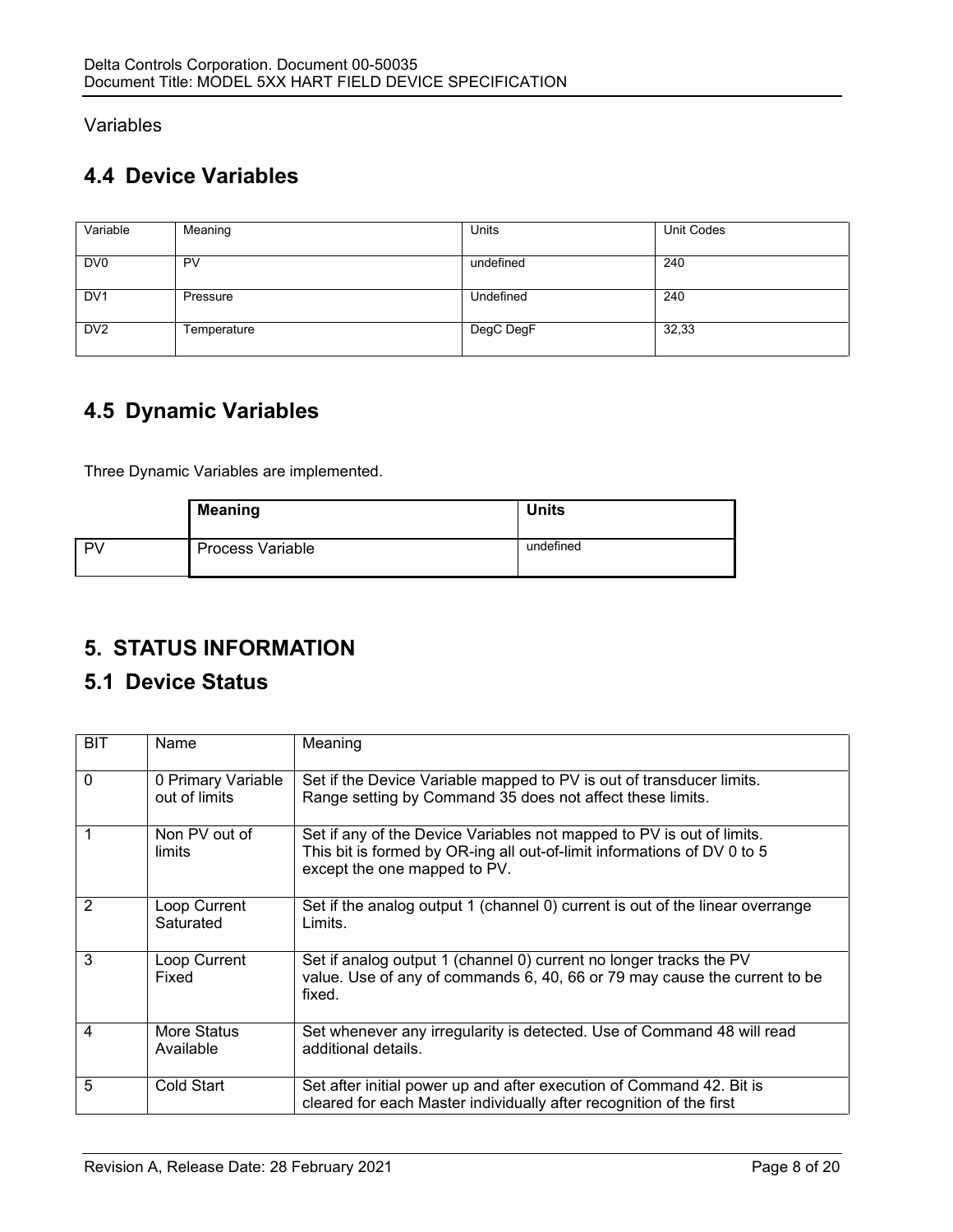### Variables

# **4.4 Device Variables**

| Variable        | Meaning     | Units            | Unit Codes |
|-----------------|-------------|------------------|------------|
| DV <sub>0</sub> | PV          | undefined        | 240        |
| DV <sub>1</sub> | Pressure    | <b>Undefined</b> | 240        |
| DV <sub>2</sub> | Temperature | DegC DegF        | 32,33      |

# **4.5 Dynamic Variables**

Three Dynamic Variables are implemented.

|      | <b>Meaning</b>          | <b>Units</b> |
|------|-------------------------|--------------|
| l Pv | <b>Process Variable</b> | undefined    |

# **5. STATUS INFORMATION**

## **5.1 Device Status**

| <b>BIT</b> | Name                                | Meaning                                                                                                                                                                          |
|------------|-------------------------------------|----------------------------------------------------------------------------------------------------------------------------------------------------------------------------------|
| $\Omega$   | 0 Primary Variable<br>out of limits | Set if the Device Variable mapped to PV is out of transducer limits.<br>Range setting by Command 35 does not affect these limits.                                                |
| 1          | Non PV out of<br>limits             | Set if any of the Device Variables not mapped to PV is out of limits.<br>This bit is formed by OR-ing all out-of-limit informations of DV 0 to 5<br>except the one mapped to PV. |
| 2          | Loop Current<br>Saturated           | Set if the analog output 1 (channel 0) current is out of the linear overrange<br>Limits.                                                                                         |
| 3          | Loop Current<br>Fixed               | Set if analog output 1 (channel 0) current no longer tracks the PV<br>value. Use of any of commands 6, 40, 66 or 79 may cause the current to be<br>fixed.                        |
| 4          | More Status<br>Available            | Set whenever any irregularity is detected. Use of Command 48 will read<br>additional details.                                                                                    |
| 5          | Cold Start                          | Set after initial power up and after execution of Command 42. Bit is<br>cleared for each Master individually after recognition of the first                                      |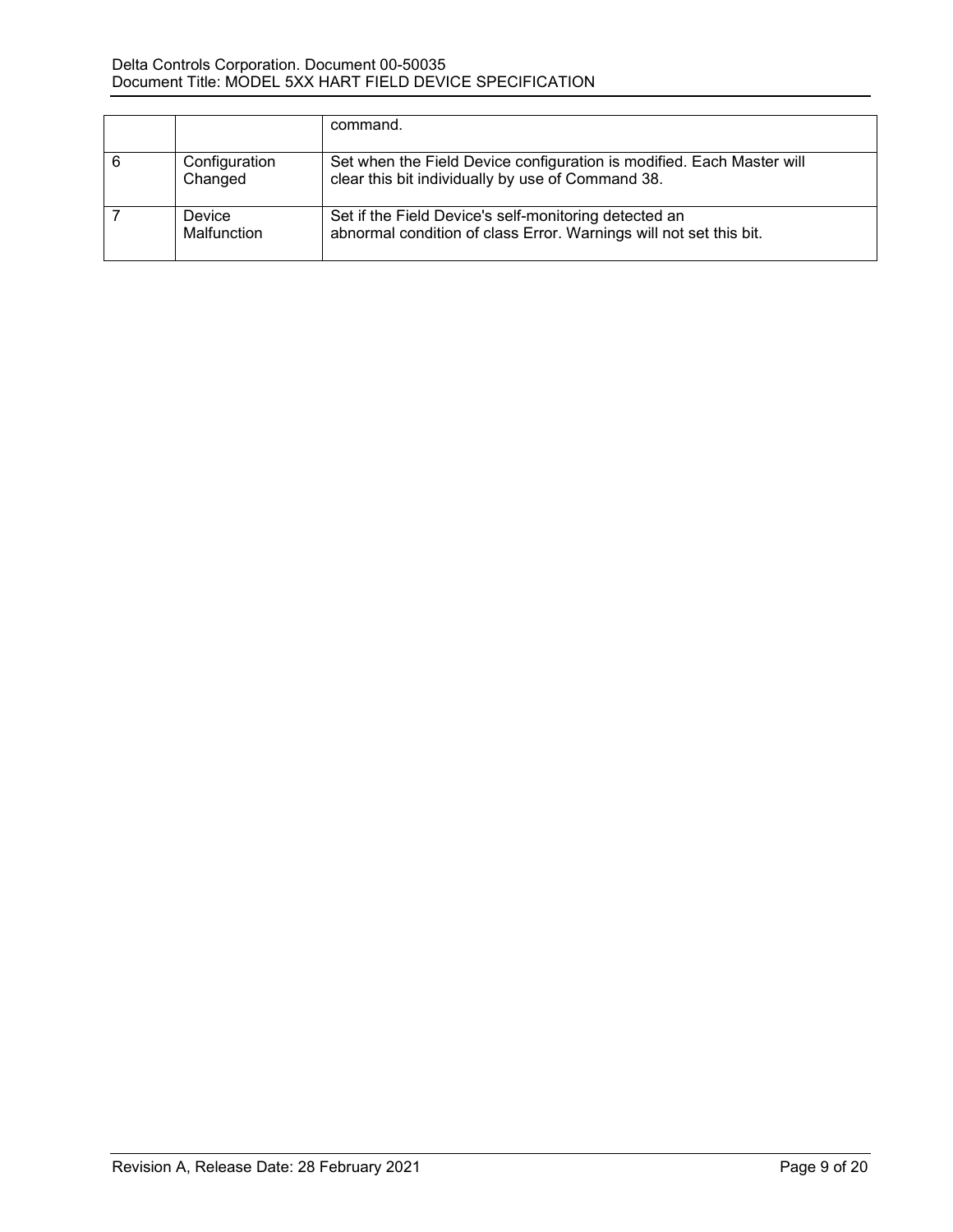|                          | command.                                                                                                                    |
|--------------------------|-----------------------------------------------------------------------------------------------------------------------------|
| Configuration<br>Changed | Set when the Field Device configuration is modified. Each Master will<br>clear this bit individually by use of Command 38.  |
| Device<br>Malfunction    | Set if the Field Device's self-monitoring detected an<br>abnormal condition of class Error. Warnings will not set this bit. |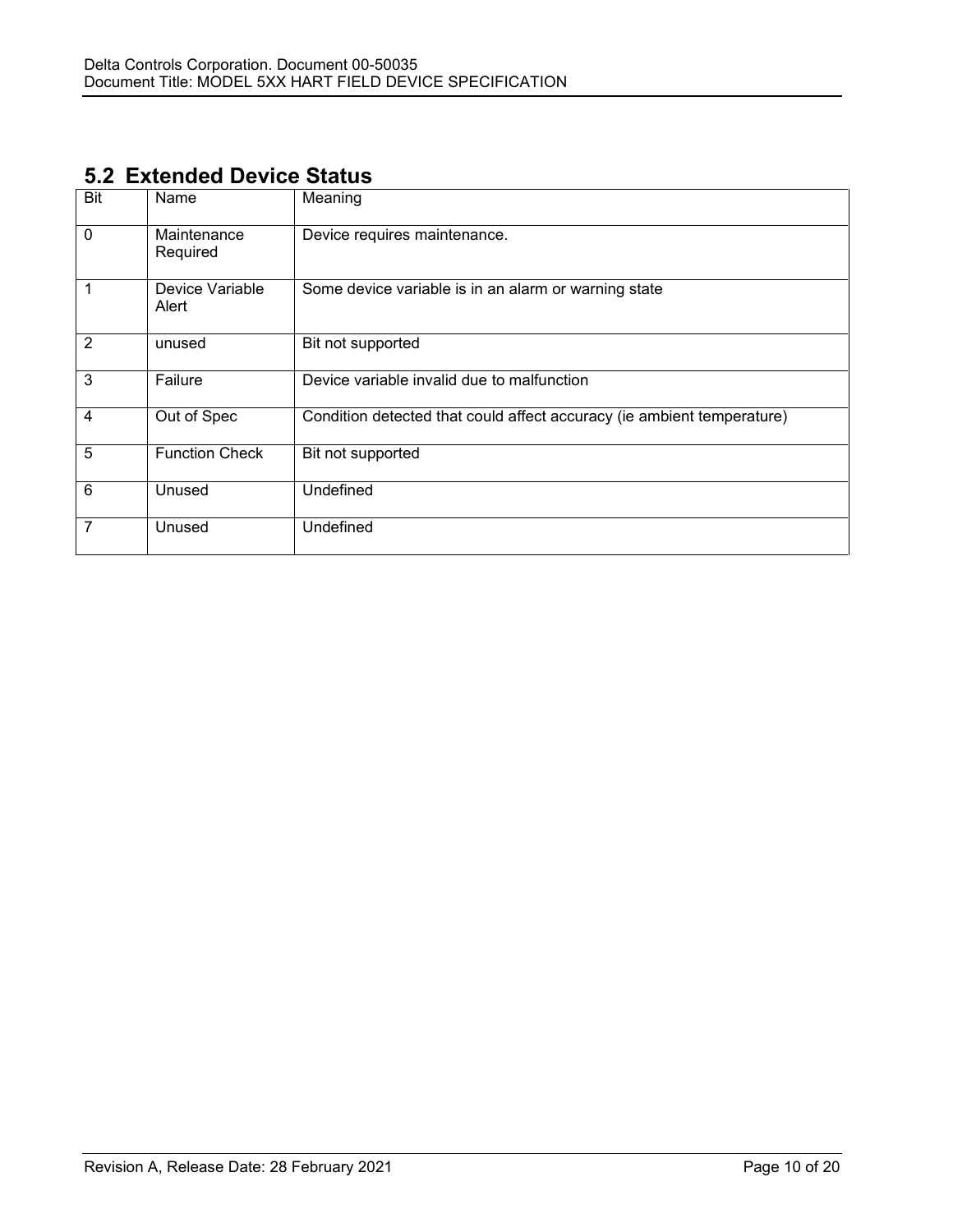## **5.2 Extended Device Status**

| <b>Bit</b>  | Name                     | Meaning                                                                |
|-------------|--------------------------|------------------------------------------------------------------------|
| $\mathbf 0$ | Maintenance<br>Required  | Device requires maintenance.                                           |
| 1           | Device Variable<br>Alert | Some device variable is in an alarm or warning state                   |
| 2           | unused                   | Bit not supported                                                      |
| 3           | Failure                  | Device variable invalid due to malfunction                             |
| 4           | Out of Spec              | Condition detected that could affect accuracy (ie ambient temperature) |
| 5           | <b>Function Check</b>    | Bit not supported                                                      |
| 6           | Unused                   | Undefined                                                              |
| 7           | Unused                   | Undefined                                                              |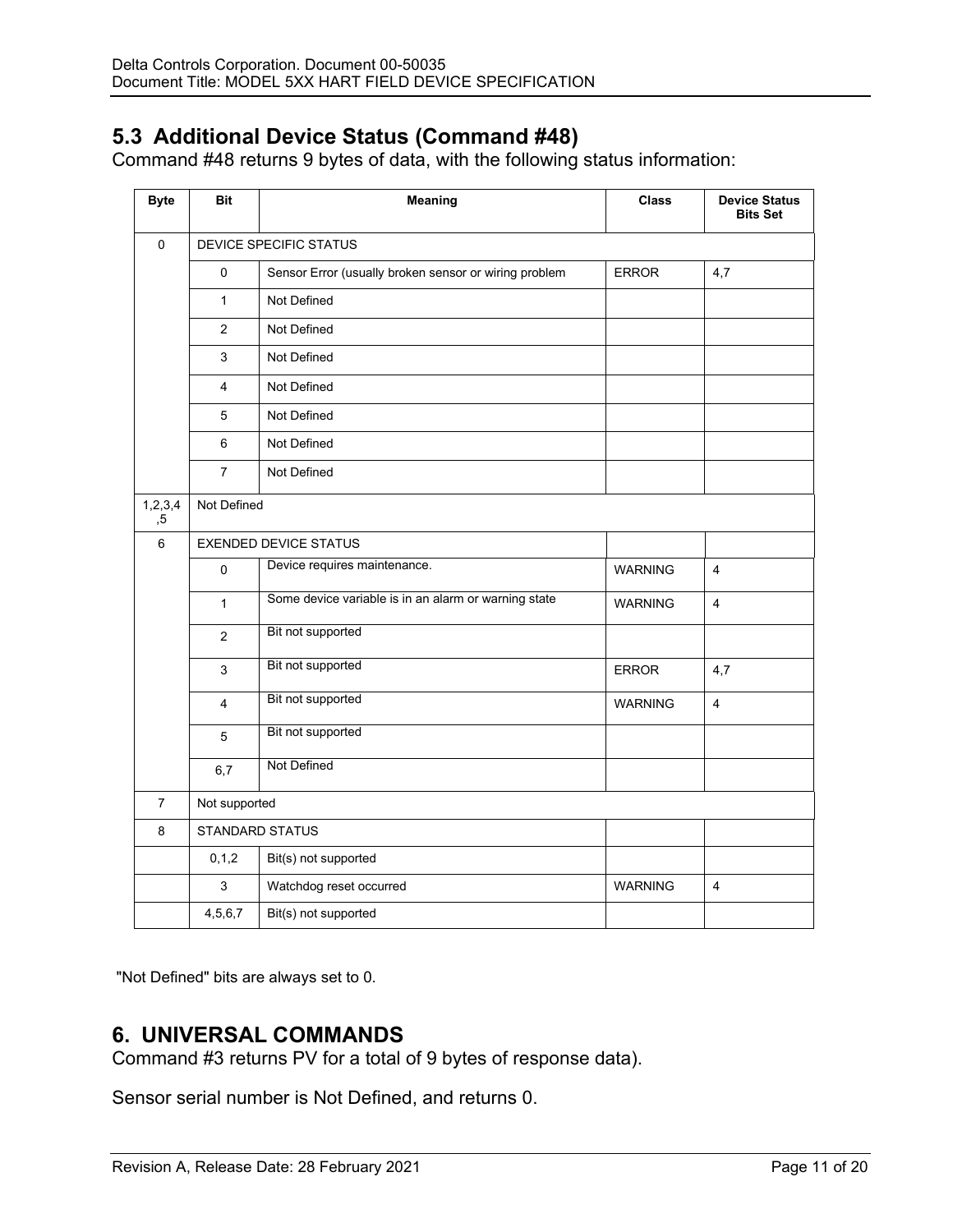## **5.3 Additional Device Status (Command #48)**

Command #48 returns 9 bytes of data, with the following status information:

| <b>Byte</b>                             | <b>Bit</b>             | Meaning                                               | <b>Class</b>   | <b>Device Status</b><br><b>Bits Set</b> |
|-----------------------------------------|------------------------|-------------------------------------------------------|----------------|-----------------------------------------|
| $\mathbf 0$                             |                        | DEVICE SPECIFIC STATUS                                |                |                                         |
|                                         | 0                      | Sensor Error (usually broken sensor or wiring problem | <b>ERROR</b>   | 4,7                                     |
|                                         | $\mathbf{1}$           | Not Defined                                           |                |                                         |
|                                         | 2                      | Not Defined                                           |                |                                         |
|                                         | 3                      | Not Defined                                           |                |                                         |
|                                         | 4                      | Not Defined                                           |                |                                         |
|                                         | 5                      | Not Defined                                           |                |                                         |
|                                         | 6                      | Not Defined                                           |                |                                         |
|                                         | $\overline{7}$         | Not Defined                                           |                |                                         |
| 1, 2, 3, 4<br>, 5                       | Not Defined            |                                                       |                |                                         |
| $\,6\,$<br><b>EXENDED DEVICE STATUS</b> |                        |                                                       |                |                                         |
|                                         | $\mathbf 0$            | Device requires maintenance.                          | <b>WARNING</b> | $\overline{4}$                          |
|                                         | $\mathbf{1}$           | Some device variable is in an alarm or warning state  | <b>WARNING</b> | $\overline{4}$                          |
|                                         | 2                      | Bit not supported                                     |                |                                         |
|                                         | 3                      | Bit not supported                                     | <b>ERROR</b>   | 4,7                                     |
| Bit not supported<br>$\overline{4}$     |                        |                                                       | WARNING        | $\overline{4}$                          |
|                                         | Bit not supported<br>5 |                                                       |                |                                         |
|                                         | 6,7                    | Not Defined                                           |                |                                         |
| $\overline{7}$                          | Not supported          |                                                       |                |                                         |
| 8                                       |                        | STANDARD STATUS                                       |                |                                         |
|                                         | 0, 1, 2                | Bit(s) not supported                                  |                |                                         |
|                                         | 3                      | Watchdog reset occurred                               | <b>WARNING</b> | $\overline{4}$                          |
|                                         | 4,5,6,7                | Bit(s) not supported                                  |                |                                         |

"Not Defined" bits are always set to 0.

## **6. UNIVERSAL COMMANDS**

Command #3 returns PV for a total of 9 bytes of response data).

Sensor serial number is Not Defined, and returns 0.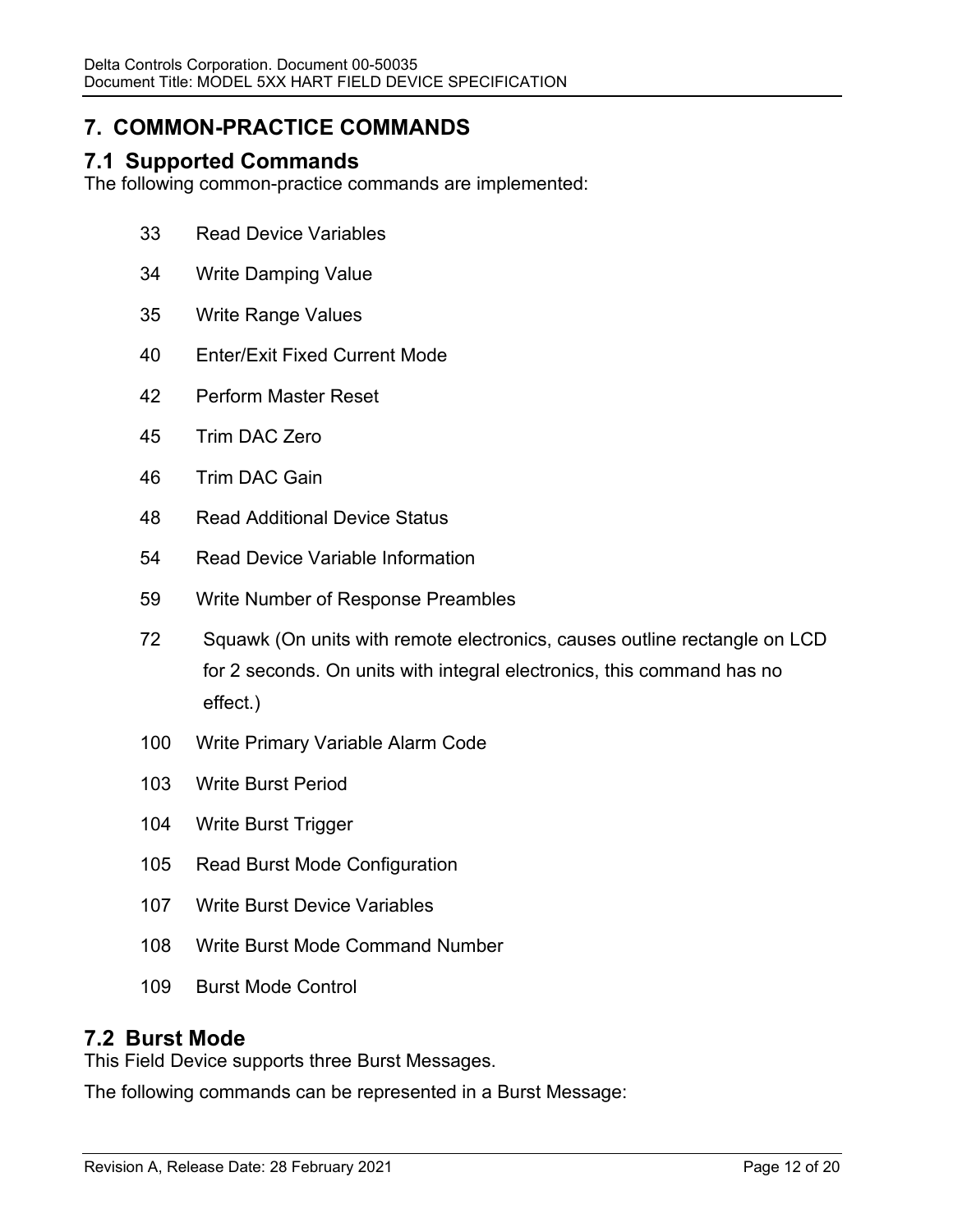# **7. COMMON-PRACTICE COMMANDS**

## **7.1 Supported Commands**

The following common-practice commands are implemented:

- Read Device Variables
- Write Damping Value
- Write Range Values
- Enter/Exit Fixed Current Mode
- Perform Master Reset
- Trim DAC Zero
- Trim DAC Gain
- Read Additional Device Status
- Read Device Variable Information
- Write Number of Response Preambles
- Squawk (On units with remote electronics, causes outline rectangle on LCD for 2 seconds. On units with integral electronics, this command has no effect.)
- Write Primary Variable Alarm Code
- Write Burst Period
- Write Burst Trigger
- Read Burst Mode Configuration
- Write Burst Device Variables
- Write Burst Mode Command Number
- Burst Mode Control

### **7.2 Burst Mode**

This Field Device supports three Burst Messages.

The following commands can be represented in a Burst Message: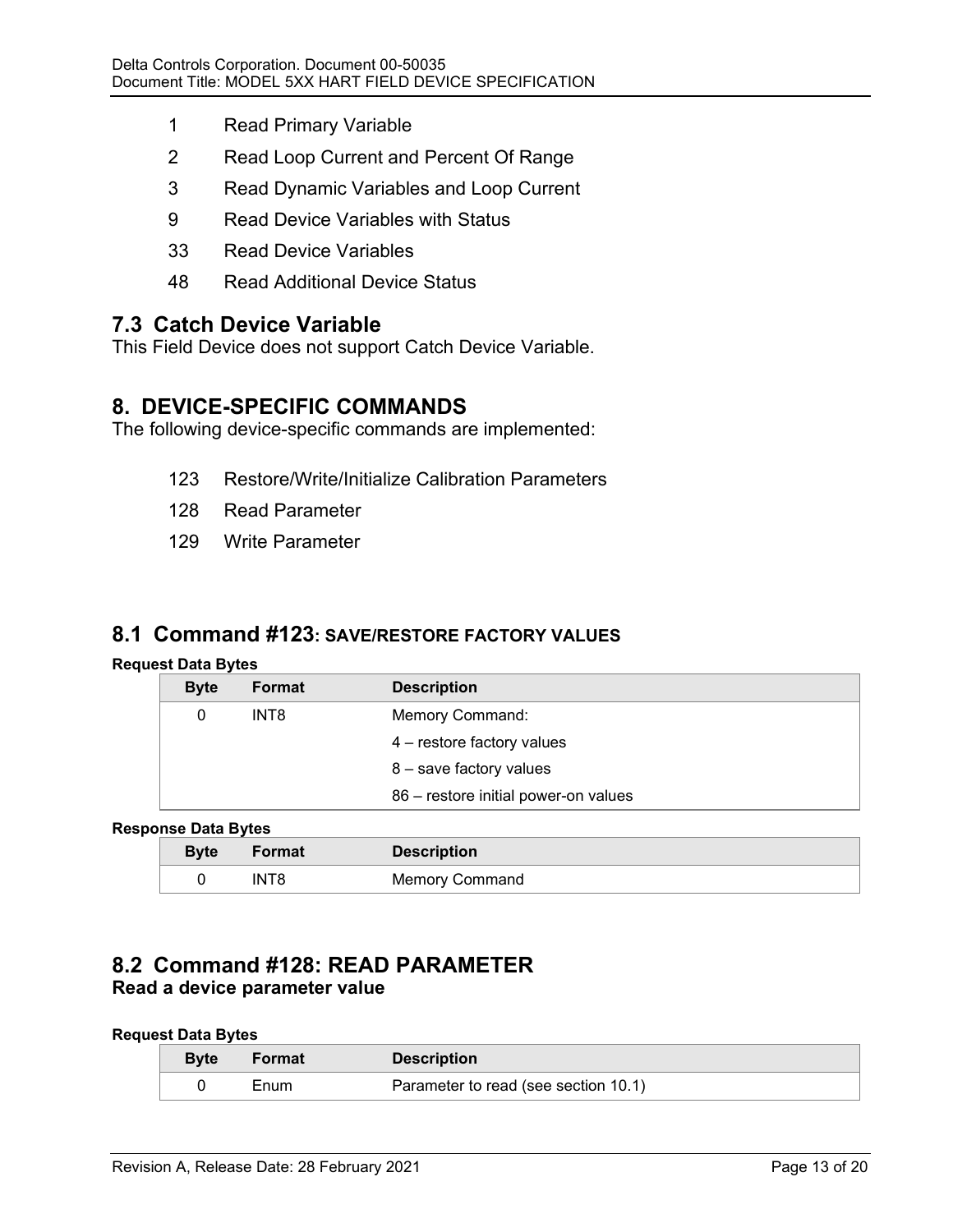- 1 Read Primary Variable
- 2 Read Loop Current and Percent Of Range
- 3 Read Dynamic Variables and Loop Current
- 9 Read Device Variables with Status
- 33 Read Device Variables
- 48 Read Additional Device Status

### **7.3 Catch Device Variable**

This Field Device does not support Catch Device Variable.

### **8. DEVICE-SPECIFIC COMMANDS**

The following device-specific commands are implemented:

- 123 Restore/Write/Initialize Calibration Parameters
- 128 Read Parameter
- 129 Write Parameter

### **8.1 Command #123: SAVE/RESTORE FACTORY VALUES**

#### **Request Data Bytes**

| <b>Byte</b> | Format           | <b>Description</b>                   |
|-------------|------------------|--------------------------------------|
| 0           | INT <sub>8</sub> | Memory Command:                      |
|             |                  | 4 – restore factory values           |
|             |                  | 8 - save factory values              |
|             |                  | 86 - restore initial power-on values |

#### **Response Data Bytes**

| <b>Byte</b> | Format | <b>Description</b>    |
|-------------|--------|-----------------------|
|             | INT8   | <b>Memory Command</b> |

### **8.2 Command #128: READ PARAMETER Read a device parameter value**

#### **Request Data Bytes**

| <b>Byte</b> | Format | <b>Description</b>                   |
|-------------|--------|--------------------------------------|
|             | Enum   | Parameter to read (see section 10.1) |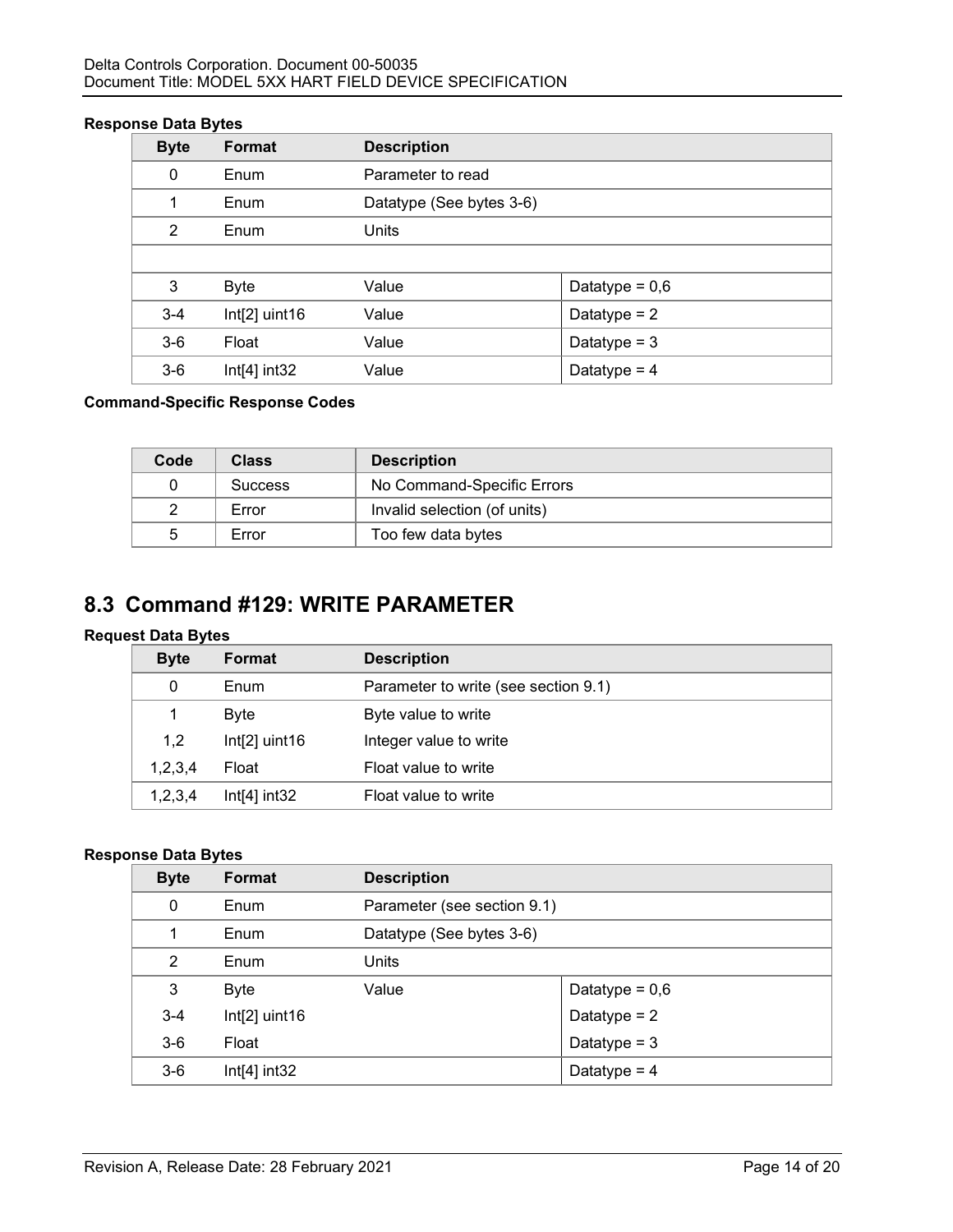#### **Response Data Bytes**

| <b>Byte</b> | Format          | <b>Description</b>       |                  |  |
|-------------|-----------------|--------------------------|------------------|--|
| 0           | Enum            | Parameter to read        |                  |  |
| 1           | Enum            | Datatype (See bytes 3-6) |                  |  |
| 2           | Enum            | Units                    |                  |  |
|             |                 |                          |                  |  |
| 3           | Byte            | Value                    | Datatype = $0,6$ |  |
| $3 - 4$     | $Int[2]$ uint16 | Value                    | Datatype $= 2$   |  |
| $3-6$       | Float           | Value                    | Datatype = $3$   |  |
| $3-6$       | $Int[4]$ int32  | Value                    | Datatype = $4$   |  |

#### **Command-Specific Response Codes**

| Code | <b>Class</b>   | <b>Description</b>           |
|------|----------------|------------------------------|
|      | <b>Success</b> | No Command-Specific Errors   |
|      | Error          | Invalid selection (of units) |
| 5    | Error          | Too few data bytes           |

# **8.3 Command #129: WRITE PARAMETER**

### **Request Data Bytes**

| <b>Byte</b> | <b>Format</b>   | <b>Description</b>                   |
|-------------|-----------------|--------------------------------------|
| 0           | Enum            | Parameter to write (see section 9.1) |
|             | Byte            | Byte value to write                  |
| 1,2         | $Int[2]$ uint16 | Integer value to write               |
| 1,2,3,4     | Float           | Float value to write                 |
| 1,2,3,4     | $Int[4]$ int32  | Float value to write                 |

#### **Response Data Bytes**

| <b>Byte</b> | Format          | <b>Description</b>       |                             |  |
|-------------|-----------------|--------------------------|-----------------------------|--|
| 0           | Enum            |                          | Parameter (see section 9.1) |  |
| 1           | Enum            | Datatype (See bytes 3-6) |                             |  |
| 2           | Enum            | Units                    |                             |  |
| 3           | <b>Byte</b>     | Value                    | Datatype = $0,6$            |  |
| $3 - 4$     | $Int[2]$ uint16 |                          | Datatype = $2$              |  |
| $3-6$       | Float           |                          | Datatype = $3$              |  |
| $3-6$       | $Int[4]$ int32  |                          | Datatype = $4$              |  |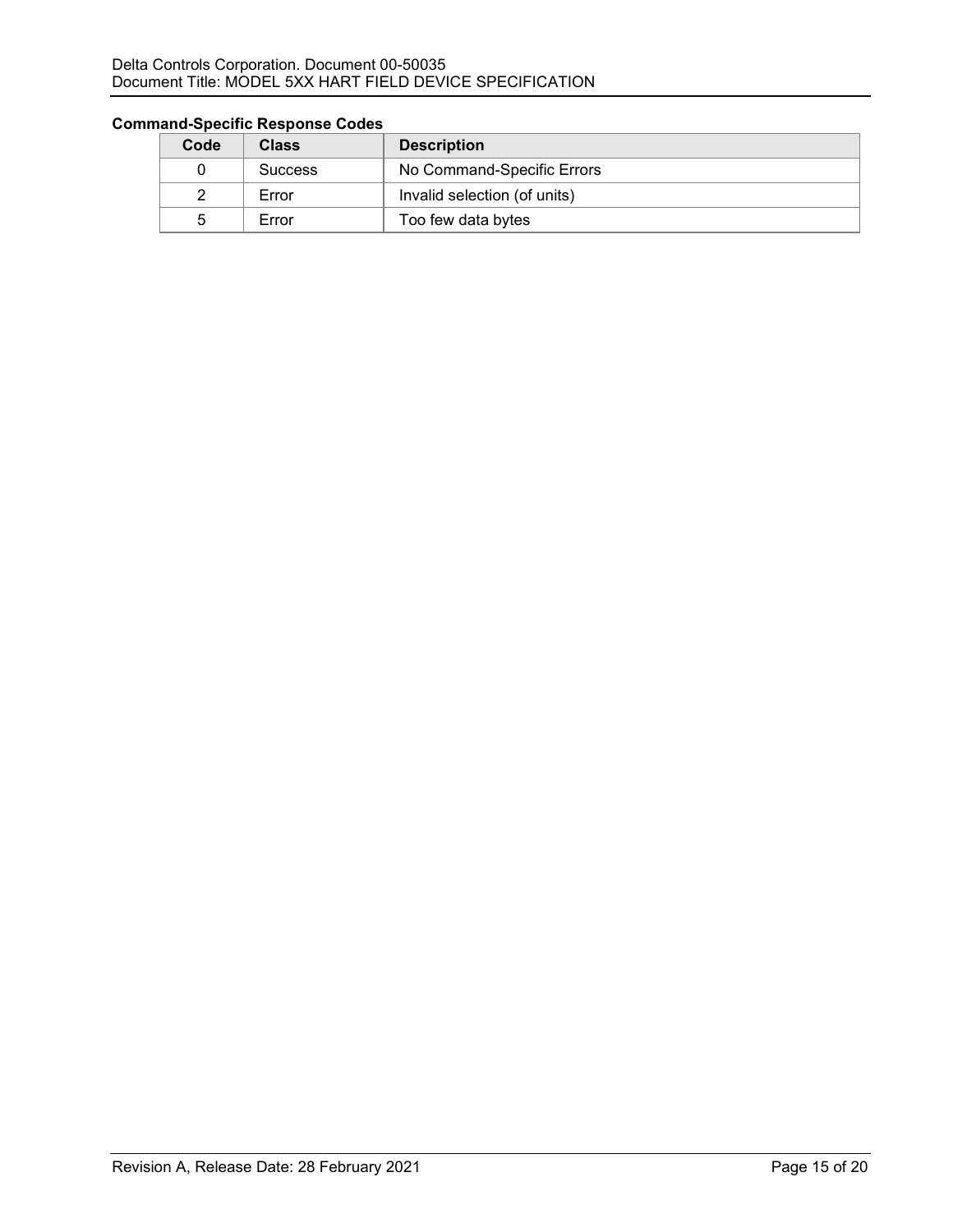#### Delta Controls Corporation. Document 00-50035 Document Title: MODEL 5XX HART FIELD DEVICE SPECIFICATION

| Code | <b>Class</b>   | <b>Description</b>           |
|------|----------------|------------------------------|
|      | <b>Success</b> | No Command-Specific Errors   |
|      | Error          | Invalid selection (of units) |
| :5   | Error          | Too few data bytes           |

### **Command-Specific Response Codes**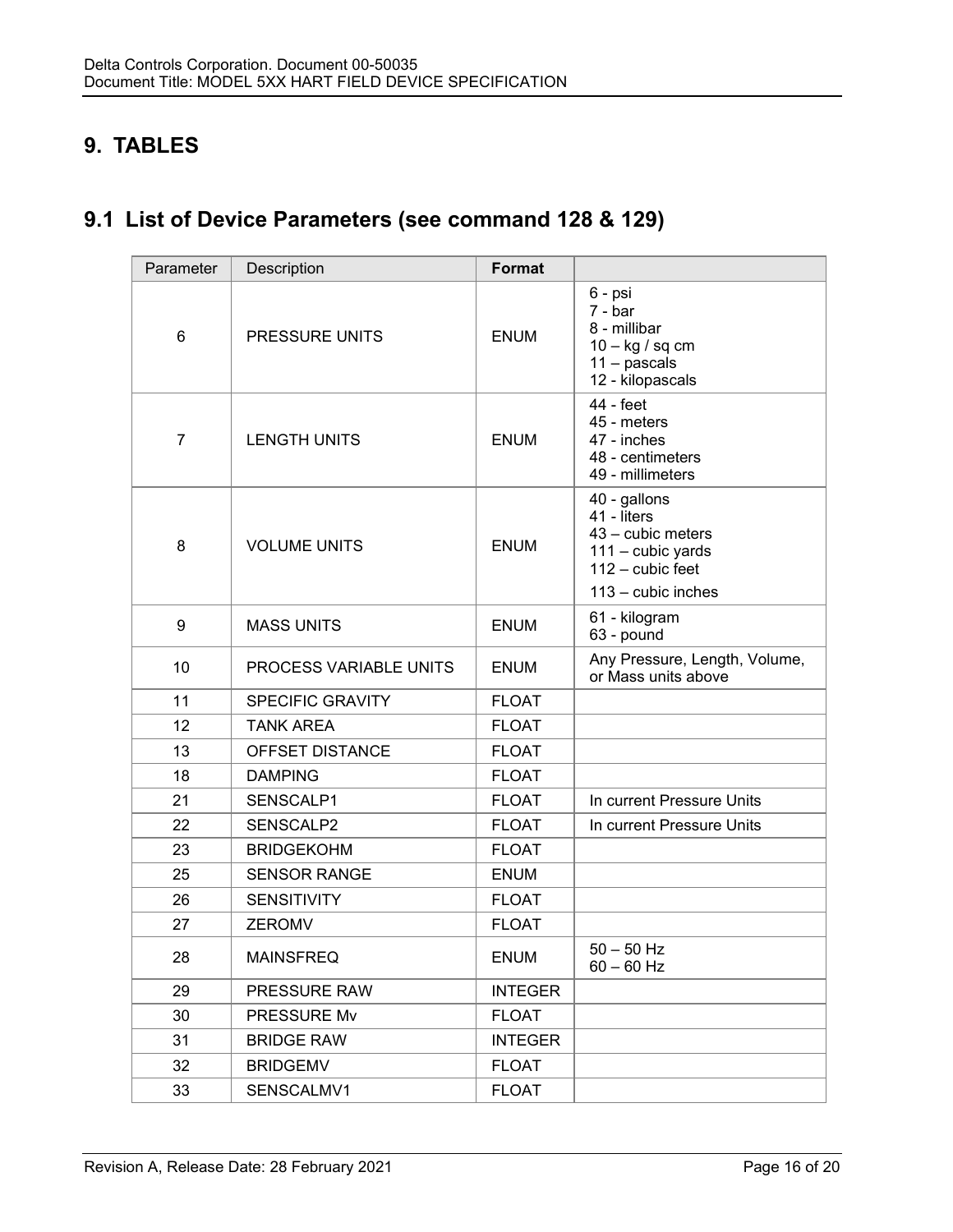# **9. TABLES**

# **9.1 List of Device Parameters (see command 128 & 129)**

| Parameter        | Description             | <b>Format</b>  |                                                                                                                     |
|------------------|-------------------------|----------------|---------------------------------------------------------------------------------------------------------------------|
| 6                | PRESSURE UNITS          | <b>ENUM</b>    | 6 - psi<br>$7 - bar$<br>8 - millibar<br>$10 - kg / sq cm$<br>$11 -$ pascals<br>12 - kilopascals                     |
| $\overline{7}$   | <b>LENGTH UNITS</b>     | <b>ENUM</b>    | 44 - feet<br>45 - meters<br>47 - inches<br>48 - centimeters<br>49 - millimeters                                     |
| 8                | <b>VOLUME UNITS</b>     | <b>ENUM</b>    | 40 - gallons<br>41 - liters<br>43 - cubic meters<br>111 - cubic yards<br>$112 -$ cubic feet<br>$113 -$ cubic inches |
| $\boldsymbol{9}$ | <b>MASS UNITS</b>       | <b>ENUM</b>    | 61 - kilogram<br>63 - pound                                                                                         |
| 10               | PROCESS VARIABLE UNITS  | <b>ENUM</b>    | Any Pressure, Length, Volume,<br>or Mass units above                                                                |
| 11               | <b>SPECIFIC GRAVITY</b> | <b>FLOAT</b>   |                                                                                                                     |
| 12               | <b>TANK AREA</b>        | <b>FLOAT</b>   |                                                                                                                     |
| 13               | OFFSET DISTANCE         | <b>FLOAT</b>   |                                                                                                                     |
| 18               | <b>DAMPING</b>          | <b>FLOAT</b>   |                                                                                                                     |
| 21               | SENSCALP1               | <b>FLOAT</b>   | In current Pressure Units                                                                                           |
| 22               | SENSCALP2               | <b>FLOAT</b>   | In current Pressure Units                                                                                           |
| 23               | <b>BRIDGEKOHM</b>       | <b>FLOAT</b>   |                                                                                                                     |
| 25               | <b>SENSOR RANGE</b>     | <b>ENUM</b>    |                                                                                                                     |
| 26               | <b>SENSITIVITY</b>      | <b>FLOAT</b>   |                                                                                                                     |
| 27               | ZEROMV                  | <b>FLOAT</b>   |                                                                                                                     |
| 28               | <b>MAINSFREQ</b>        | <b>ENUM</b>    | $50 - 50$ Hz<br>$60 - 60$ Hz                                                                                        |
| 29               | <b>PRESSURE RAW</b>     | <b>INTEGER</b> |                                                                                                                     |
| 30               | PRESSURE Mv             | <b>FLOAT</b>   |                                                                                                                     |
| 31               | <b>BRIDGE RAW</b>       | <b>INTEGER</b> |                                                                                                                     |
| 32               | <b>BRIDGEMV</b>         | <b>FLOAT</b>   |                                                                                                                     |
| 33               | SENSCALMV1              | <b>FLOAT</b>   |                                                                                                                     |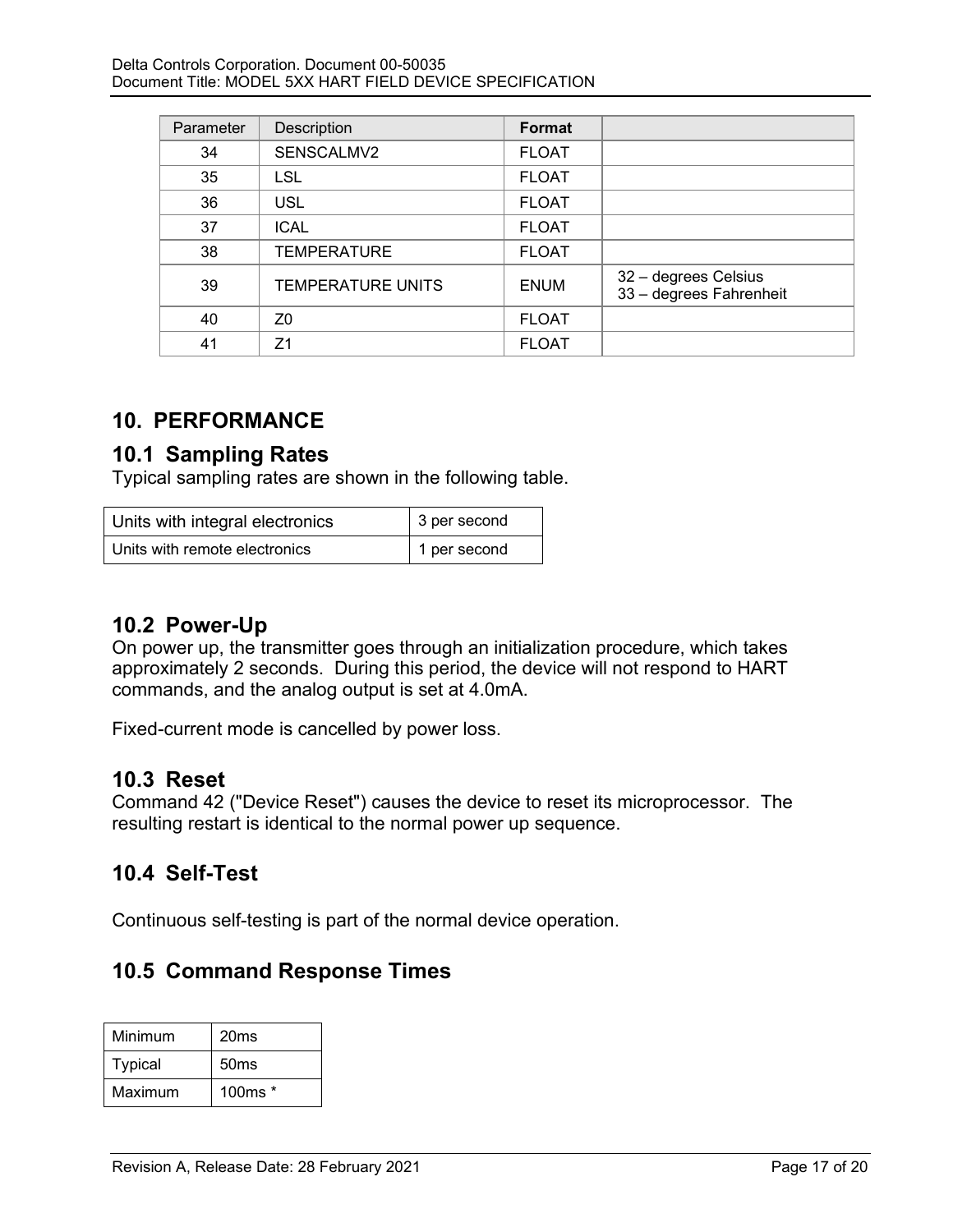| Parameter | Description              | Format       |                                                 |
|-----------|--------------------------|--------------|-------------------------------------------------|
| 34        | SENSCALMV2               | <b>FLOAT</b> |                                                 |
| 35        | LSL                      | <b>FLOAT</b> |                                                 |
| 36        | <b>USL</b>               | <b>FLOAT</b> |                                                 |
| 37        | <b>ICAL</b>              | <b>FLOAT</b> |                                                 |
| 38        | <b>TEMPERATURE</b>       | <b>FLOAT</b> |                                                 |
| 39        | <b>TEMPERATURE UNITS</b> | <b>ENUM</b>  | 32 - degrees Celsius<br>33 - degrees Fahrenheit |
| 40        | Z <sub>0</sub>           | <b>FLOAT</b> |                                                 |
| 41        | 71                       | <b>FLOAT</b> |                                                 |

## **10. PERFORMANCE**

## **10.1 Sampling Rates**

Typical sampling rates are shown in the following table.

| Units with integral electronics | 3 per second |
|---------------------------------|--------------|
| Units with remote electronics   | 1 per second |

## **10.2 Power-Up**

On power up, the transmitter goes through an initialization procedure, which takes approximately 2 seconds. During this period, the device will not respond to HART commands, and the analog output is set at 4.0mA.

Fixed-current mode is cancelled by power loss.

### **10.3 Reset**

Command 42 ("Device Reset") causes the device to reset its microprocessor. The resulting restart is identical to the normal power up sequence.

# **10.4 Self-Test**

Continuous self-testing is part of the normal device operation.

## **10.5 Command Response Times**

| Minimum        | 20 <sub>ms</sub> |
|----------------|------------------|
| <b>Typical</b> | 50ms             |
| Maximum        | 100 $ms*$        |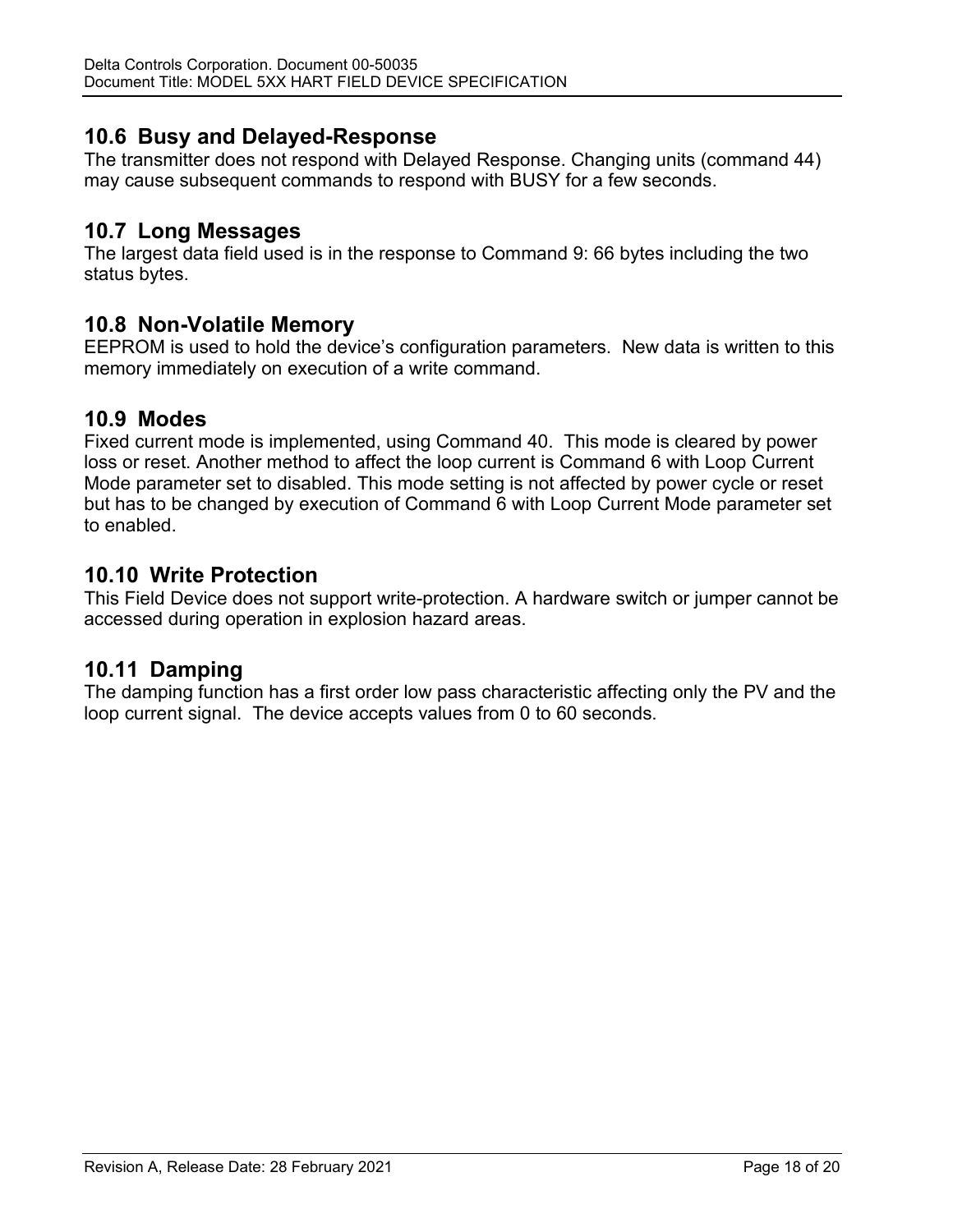### **10.6 Busy and Delayed-Response**

The transmitter does not respond with Delayed Response. Changing units (command 44) may cause subsequent commands to respond with BUSY for a few seconds.

### **10.7 Long Messages**

The largest data field used is in the response to Command 9: 66 bytes including the two status bytes.

### **10.8 Non-Volatile Memory**

EEPROM is used to hold the device's configuration parameters. New data is written to this memory immediately on execution of a write command.

### **10.9 Modes**

Fixed current mode is implemented, using Command 40. This mode is cleared by power loss or reset. Another method to affect the loop current is Command 6 with Loop Current Mode parameter set to disabled. This mode setting is not affected by power cycle or reset but has to be changed by execution of Command 6 with Loop Current Mode parameter set to enabled.

## **10.10 Write Protection**

This Field Device does not support write-protection. A hardware switch or jumper cannot be accessed during operation in explosion hazard areas.

## **10.11 Damping**

The damping function has a first order low pass characteristic affecting only the PV and the loop current signal. The device accepts values from 0 to 60 seconds.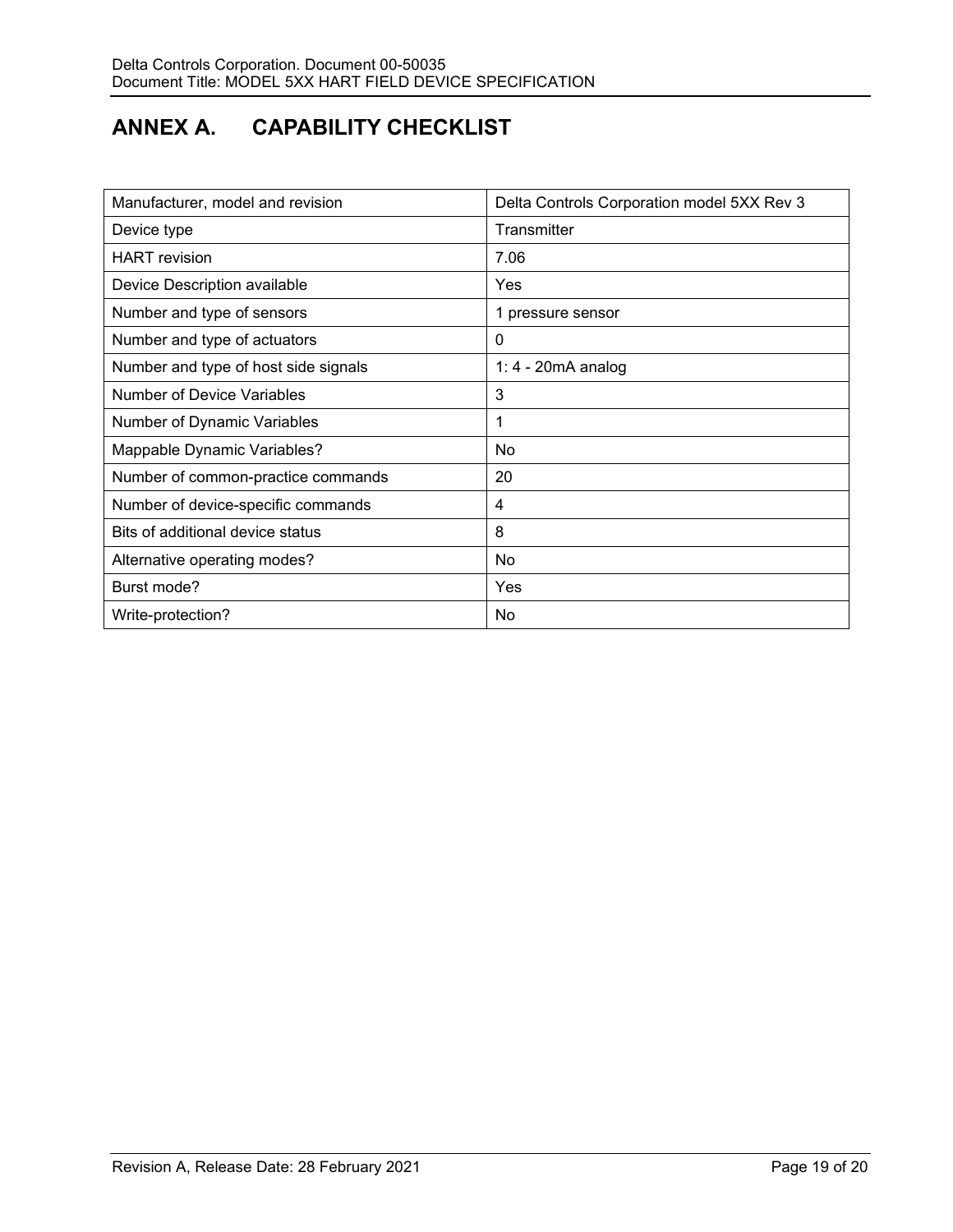# **ANNEX A. CAPABILITY CHECKLIST**

| Manufacturer, model and revision     | Delta Controls Corporation model 5XX Rev 3 |
|--------------------------------------|--------------------------------------------|
| Device type                          | Transmitter                                |
| <b>HART</b> revision                 | 7.06                                       |
| Device Description available         | <b>Yes</b>                                 |
| Number and type of sensors           | 1 pressure sensor                          |
| Number and type of actuators         | 0                                          |
| Number and type of host side signals | 1: 4 - 20mA analog                         |
| <b>Number of Device Variables</b>    | 3                                          |
| Number of Dynamic Variables          | 1                                          |
| Mappable Dynamic Variables?          | No                                         |
| Number of common-practice commands   | 20                                         |
| Number of device-specific commands   | 4                                          |
| Bits of additional device status     | 8                                          |
| Alternative operating modes?         | No.                                        |
| Burst mode?                          | <b>Yes</b>                                 |
| Write-protection?                    | No.                                        |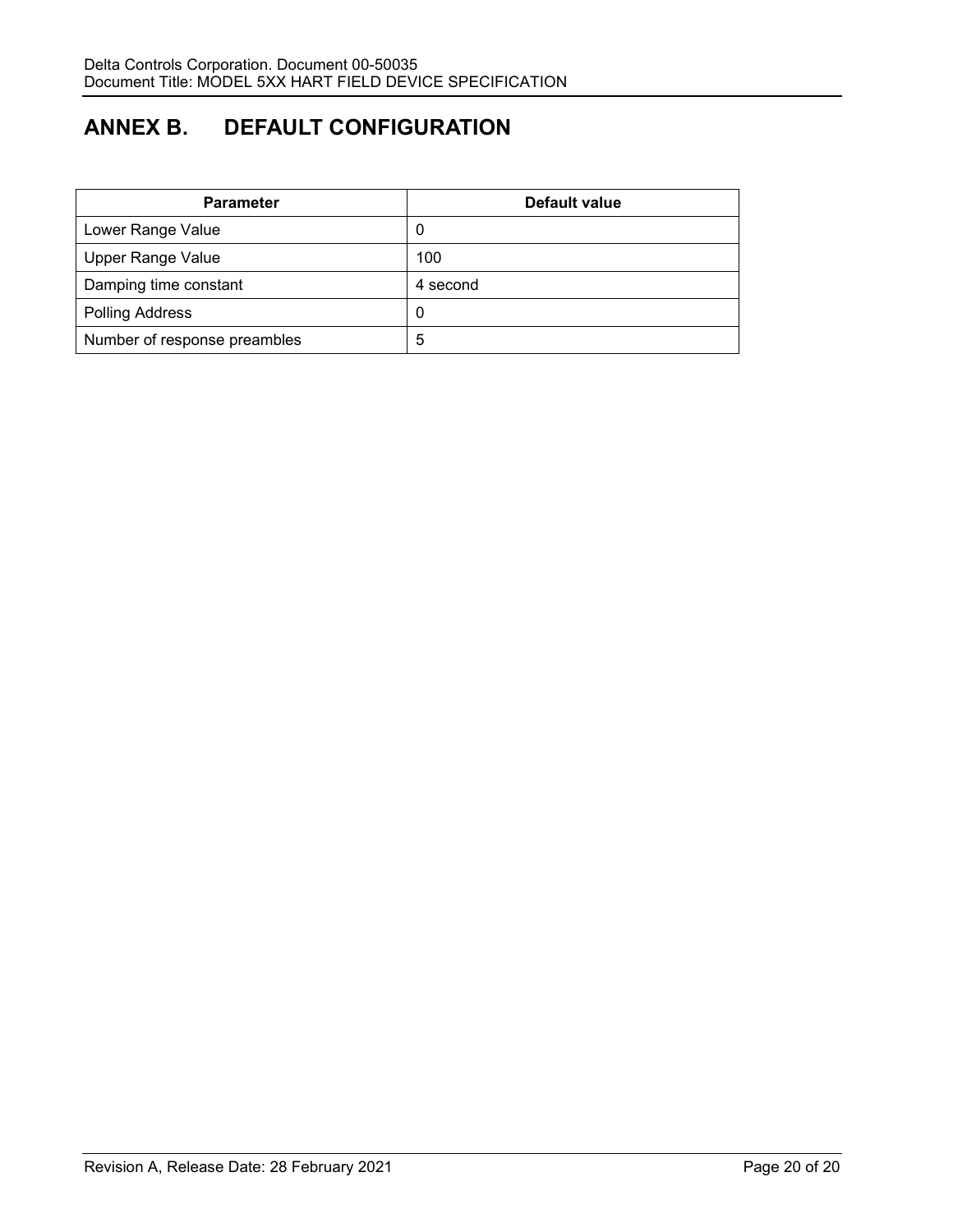# **ANNEX B. DEFAULT CONFIGURATION**

| <b>Parameter</b>             | Default value |
|------------------------------|---------------|
| Lower Range Value            | 0             |
| <b>Upper Range Value</b>     | 100           |
| Damping time constant        | 4 second      |
| <b>Polling Address</b>       | -0            |
| Number of response preambles | 5             |